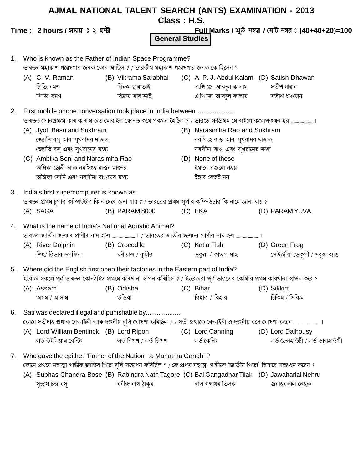|    |                                                                                                                              | AJMAL NATIONAL TALENT SEARCH (ANTS) EXAMINATION - 2013          | <u><b>Class: H.S.</b></u> |                                                 |                                                             |  |  |  |  |
|----|------------------------------------------------------------------------------------------------------------------------------|-----------------------------------------------------------------|---------------------------|-------------------------------------------------|-------------------------------------------------------------|--|--|--|--|
|    | Time: 2 hours / সময় ঃ ২ ঘন্ট                                                                                                |                                                                 | <b>General Studies</b>    |                                                 | <u>Full M</u> arks / মুঠ নম্বর / মোট নম্বর ঃ (40+40+20)=100 |  |  |  |  |
| 1. | Who is known as the Father of Indian Space Programme?                                                                        |                                                                 |                           |                                                 |                                                             |  |  |  |  |
|    | ভাৰতৰ মহাকাশ গৱেষণাৰ জনক কোন আছিল ? / ভারতীয় মহাকাশ গবেষণার জনক কে ছিলেন ?                                                  |                                                                 |                           |                                                 |                                                             |  |  |  |  |
|    | (A) C. V. Raman                                                                                                              | (B) Vikrama Sarabhai (C) A. P. J. Abdul Kalam (D) Satish Dhawan |                           |                                                 |                                                             |  |  |  |  |
|    | চি.ভি. ৰমণ                                                                                                                   | বিক্ৰম ছাৰাভাই                                                  |                           | এ.পি.জে. আব্দুল কালাম                সতীশ ধাৱান |                                                             |  |  |  |  |
|    | সি.ডি. রমণ                                                                                                                   | বিক্ৰম সারাভাই                                                  |                           | এ.পি.জে. আব্দুল কালাম সতীশ ধাওয়ান              |                                                             |  |  |  |  |
| 2. | First mobile phone conversation took place in India between                                                                  |                                                                 |                           |                                                 |                                                             |  |  |  |  |
|    |                                                                                                                              |                                                                 |                           |                                                 |                                                             |  |  |  |  |
|    | (A) Jyoti Basu and Sukhram                                                                                                   |                                                                 |                           | (B) Narasimha Rao and Sukhram                   |                                                             |  |  |  |  |
|    | জ্যোতি বসু আৰু সুখৰামৰ মাজত                                                                                                  |                                                                 |                           | নৰসিংহ ৰাও আৰু সুখৰামৰ মাজত                     |                                                             |  |  |  |  |
|    | জ্যোতি বসু এবং সুখরামের মধ্যে                                                                                                |                                                                 |                           | নরসীমা রাও এবং সুখরামের মধ্যে                   |                                                             |  |  |  |  |
|    | (C) Ambika Soni and Narasimha Rao                                                                                            |                                                                 |                           | (D) None of these                               |                                                             |  |  |  |  |
|    | অম্বিকা ছোনী আৰু নৰসিংহ ৰাওৰ মাজত                                                                                            |                                                                 |                           | ইয়াৰে এজনো নহয়                                |                                                             |  |  |  |  |
|    | অম্বিকা সোনি এবং নরসীমা রাওয়ের মধ্যে                                                                                        |                                                                 |                           | ইহার কেহই নন                                    |                                                             |  |  |  |  |
| 3. | India's first supercomputer is known as                                                                                      |                                                                 |                           |                                                 |                                                             |  |  |  |  |
|    | ভাৰতৰ প্ৰথম চুপাৰ কম্পিউটাৰ কি নামেৰে জনা যায় ? / ভারতের প্ৰথম সুপার কম্পিউটার কি নামে জানা যায় ?                          |                                                                 |                           |                                                 |                                                             |  |  |  |  |
|    | (A) SAGA                                                                                                                     | (B) PARAM 8000                                                  |                           | (C) EKA                                         | (D) PARAM YUVA                                              |  |  |  |  |
| 4. |                                                                                                                              | What is the name of India's National Aquatic Animal?            |                           |                                                 |                                                             |  |  |  |  |
|    |                                                                                                                              |                                                                 |                           |                                                 |                                                             |  |  |  |  |
|    | (A) River Dolphin                                                                                                            | (B) Crocodile                                                   |                           | (C) Katla Fish                                  | (D) Green Frog                                              |  |  |  |  |
|    | শিহু/ রিভার ডলফিন                                                                                                            | ঘৰীয়াল / কুমীর                                                 |                           | ভকুৱা / কাতল মাছ                                | সেউজীয়া ভেকুলী / সবুজ ব্যাঙ                                |  |  |  |  |
|    | 5. Where did the English first open their factories in the Eastern part of India?                                            |                                                                 |                           |                                                 |                                                             |  |  |  |  |
|    | ইংৰাজ সকলে পূৰ্ৱ ভাৰতৰ কোনঠাইত প্ৰথমে কাৰখানা স্থাপন কৰিছিল ? / ইংরেজরা পূর্ব ভারতের কোথায় প্ৰথম কারখানা স্থাপন করে ?       |                                                                 |                           |                                                 |                                                             |  |  |  |  |
|    | (A) Assam                                                                                                                    | (B) Odisha                                                      |                           | (C) Bihar                                       | (D) Sikkim                                                  |  |  |  |  |
|    | অসম / আসাম                                                                                                                   | উডিষা                                                           |                           | বিহাৰ / বিহার                                   | চিকিম / সিকিম                                               |  |  |  |  |
| 6. | Sati was declared illegal and punishable by                                                                                  |                                                                 |                           |                                                 |                                                             |  |  |  |  |
|    | কোনে সতীদাহ প্ৰথাক বেআইনী আৰু দণ্ডনীয় বুলি ঘোষণা কৰিছিল ? / সতী প্ৰথাকে বেআইনী ও দণ্ডনীয় বলে ঘোষণা করেন ……………………………………     |                                                                 |                           |                                                 |                                                             |  |  |  |  |
|    | (A) Lord William Bentinck (B) Lord Ripon                                                                                     |                                                                 |                           | (C) Lord Canning                                | (D) Lord Dalhousy                                           |  |  |  |  |
|    | লর্ড উইলিয়াম বেন্টিং                                                                                                        | লৰ্ড ৰিপণ / লৰ্ড রিপণ                                           |                           | লৰ্ড কেনিং                                      | লৰ্ড ডেলহাউচী / লৰ্ড ডালহাউসী                               |  |  |  |  |
| 7. | Who gave the epithet "Father of the Nation" to Mahatma Gandhi?                                                               |                                                                 |                           |                                                 |                                                             |  |  |  |  |
|    | কোনে প্ৰথমে মহাত্মা গান্ধীক জাতিৰ পিতা বুলি সম্বোধন কৰিছিল ? / কে প্ৰথম মহাত্মা গান্ধীকে 'জাতীয় পিতা' হিসাবে সম্বোধন করেন ? |                                                                 |                           |                                                 |                                                             |  |  |  |  |
|    | (A) Subhas Chandra Bose (B) Rabindra Nath Tagore (C) Bal Gangadhar Tilak (D) Jawaharlal Nehru                                |                                                                 |                           |                                                 |                                                             |  |  |  |  |
|    | সুভাষ চন্দ্ৰ বসু                                                                                                             | ৰবীন্দ্ৰ নাথ ঠাকুৰ                                              |                           | বাল গঙ্গাধৰ তিলক                                | জৱাহৰলাল নেহৰু                                              |  |  |  |  |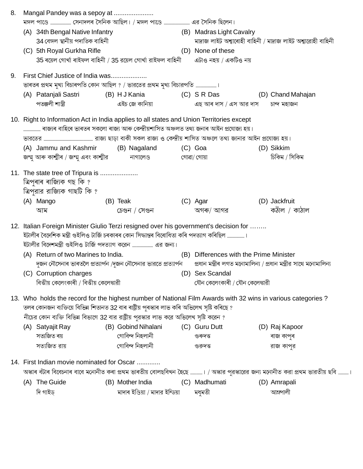| 8. |                                                                                       | Mangal Pandey was a sepoy at                                                                                   |                  |                                 |  |                                                                                                                                        |  |                                                                                                                                     |  |
|----|---------------------------------------------------------------------------------------|----------------------------------------------------------------------------------------------------------------|------------------|---------------------------------|--|----------------------------------------------------------------------------------------------------------------------------------------|--|-------------------------------------------------------------------------------------------------------------------------------------|--|
|    | মঙ্গল পাণ্ডে …………………… সেনাদলৰ সৈনিক আছিল। / মঙ্গল পাণ্ডে ………………………… এর সৈনিক ছিলেন।   |                                                                                                                |                  |                                 |  |                                                                                                                                        |  |                                                                                                                                     |  |
|    |                                                                                       | (A) 34th Bengal Native Infantry                                                                                |                  |                                 |  | (B) Madras Light Cavalry                                                                                                               |  |                                                                                                                                     |  |
|    |                                                                                       | 34 বেঙ্গল স্থানীয় পদাতিক বাহিনী                                                                               |                  |                                 |  |                                                                                                                                        |  | মাদ্ৰাজ লাইট অশ্বাৰোহী বাহিনী / মাদ্ৰাজ লাইট অশ্বারোহী বাহিনী                                                                       |  |
|    |                                                                                       | (C) 5th Royal Gurkha Rifle                                                                                     |                  |                                 |  | (D) None of these                                                                                                                      |  |                                                                                                                                     |  |
|    |                                                                                       | 35 ৰয়েল গোৰ্খা ৰাইফল বাহিনী / 35 রয়েল গোৰ্খা রাইফল বাহিনী                                                    |                  |                                 |  | এটাও নহয় / একটিও নয়                                                                                                                  |  |                                                                                                                                     |  |
| 9. |                                                                                       | First Chief Justice of India was                                                                               |                  |                                 |  |                                                                                                                                        |  |                                                                                                                                     |  |
|    |                                                                                       | ভাৰতৰ প্ৰথম মুখ্য বিচাৰপতি কোন আছিল ? / ভারতের প্ৰথম মুখ্য বিচারপতি ।                                          |                  |                                 |  |                                                                                                                                        |  |                                                                                                                                     |  |
|    |                                                                                       | (A) Patanjali Sastri (B) H J Kania (C) S R Das                                                                 |                  |                                 |  |                                                                                                                                        |  | (D) Chand Mahajan                                                                                                                   |  |
|    |                                                                                       | পতঞ্জলী শাস্ত্ৰী                                                                                               |                  | এইচ জে কানিয়া                  |  | এছ আৰ দাস / এস আর দাস                                                                                                                  |  | চান্দ মহাজন                                                                                                                         |  |
|    |                                                                                       | 10. Right to Information Act in India applies to all states and Union Territories except                       |                  |                                 |  |                                                                                                                                        |  |                                                                                                                                     |  |
|    | ৰাজ্যৰ বাহিৰে ভাৰতৰ সকলো ৰাজ্য আৰু কেন্দ্ৰীয়শাসিত অঞ্চলত তথ্য জনাৰ আইন প্ৰযোজ্য হয়। |                                                                                                                |                  |                                 |  |                                                                                                                                        |  |                                                                                                                                     |  |
|    |                                                                                       | ভারতের ……………………………………………………… রাজ্য ছাড়া বাকী সকল রাজ্য ও কেন্দ্রীয় শাসিত অঞ্চলে তথ্য জানার আইন প্রযোজ্য হয়। |                  |                                 |  |                                                                                                                                        |  |                                                                                                                                     |  |
|    |                                                                                       | (A) Jammu and Kashmir                                                                                          |                  | (B) Nagaland                    |  | (C) Goa                                                                                                                                |  | (D) Sikkim                                                                                                                          |  |
|    |                                                                                       |                                                                                                                |                  |                                 |  |                                                                                                                                        |  | চিকিম / সিকিম                                                                                                                       |  |
|    |                                                                                       | 11. The state tree of Tripura is                                                                               |                  |                                 |  |                                                                                                                                        |  |                                                                                                                                     |  |
|    |                                                                                       | ত্ৰিপুৰাৰ ৰাজ্যিক গছ কি ?                                                                                      |                  |                                 |  |                                                                                                                                        |  |                                                                                                                                     |  |
|    |                                                                                       | ত্রিপুরার রাজ্যিক গাছটি কি ?                                                                                   |                  |                                 |  |                                                                                                                                        |  |                                                                                                                                     |  |
|    |                                                                                       | (A) Mango                                                                                                      |                  | (B) Teak                        |  | (C) Agar                                                                                                                               |  | (D) Jackfruit                                                                                                                       |  |
|    |                                                                                       | আম                                                                                                             |                  | চেগুন / সেগুন                   |  | অগৰু/ আগর                                                                                                                              |  | কঠাঁল / কাঠাল                                                                                                                       |  |
|    |                                                                                       | 12. Italian Foreign Minister Giulio Terzi resigned over his government's decision for                          |                  |                                 |  |                                                                                                                                        |  |                                                                                                                                     |  |
|    |                                                                                       | ইটালীৰ বৈদেশিক মন্ত্ৰী গুইলিও টাৰ্জি চৰকাৰৰ কোন সিদ্ধান্তৰ বিৰোধিতা কৰি পদত্যাগ কৰিছিল …………………।                |                  |                                 |  |                                                                                                                                        |  |                                                                                                                                     |  |
|    |                                                                                       |                                                                                                                |                  |                                 |  |                                                                                                                                        |  |                                                                                                                                     |  |
|    |                                                                                       | (A) Return of two Marines to India.                                                                            |                  |                                 |  | (B) Differences with the Prime Minister                                                                                                |  |                                                                                                                                     |  |
|    |                                                                                       |                                                                                                                |                  |                                 |  | দুজন নৌসেনাৰ ভাৰতলৈ প্ৰত্যাৰ্পন /দুজন নৌসেনার ভারতে প্ৰত্যাৰ্পন       প্ৰধান মন্ত্ৰীৰ লগত মনোমালিন্য / প্ৰধান মন্ত্ৰীর সাথে মনোমালিন্য |  |                                                                                                                                     |  |
|    |                                                                                       | (C) Corruption charges                                                                                         |                  |                                 |  | (D) Sex Scandal                                                                                                                        |  |                                                                                                                                     |  |
|    |                                                                                       | বিত্তীয় কেলেংকাৰী / বিত্তীয় কেলেঙ্কারী                                                                       |                  |                                 |  | যৌন কেলেংকাৰী / যৌন কেলেঙ্কারী                                                                                                         |  |                                                                                                                                     |  |
|    |                                                                                       | 13. Who holds the record for the highest number of National Film Awards with 32 wins in various categories?    |                  |                                 |  |                                                                                                                                        |  |                                                                                                                                     |  |
|    |                                                                                       | তলৰ কোনজন ব্যক্তিয়ে বিভিন্ন শিতানত 32 বাৰ ৰাষ্ট্ৰীয় পুৰস্কাৰ লাভ কৰি অভিলেখ সৃষ্টি কৰিছে ?                   |                  |                                 |  |                                                                                                                                        |  |                                                                                                                                     |  |
|    |                                                                                       | নীচের কোন ব্যক্তি বিভিন্ন বিভাগে 32 বার রাষ্ট্রীয় পুরস্কার লাভ করে অভিলেখ সৃষ্টি করেন ?                       |                  |                                 |  |                                                                                                                                        |  |                                                                                                                                     |  |
|    |                                                                                       | (A) Satyajit Ray                                                                                               |                  | (B) Gobind Nihalani             |  | (C) Guru Dutt                                                                                                                          |  | (D) Raj Kapoor                                                                                                                      |  |
|    |                                                                                       | সত্যজিত ৰয়                                                                                                    |                  | গোবিন্দ নিহলানী                 |  | গুৰুদত্ত                                                                                                                               |  | ৰাজ কাপুৰ                                                                                                                           |  |
|    |                                                                                       | সত্যজিত রায়                                                                                                   |                  | গোবিন্দ নিহলানী                 |  | গুরুদত্ত                                                                                                                               |  | রাজ কাপর                                                                                                                            |  |
|    |                                                                                       | 14. First Indian movie nominated for Oscar                                                                     |                  |                                 |  |                                                                                                                                        |  |                                                                                                                                     |  |
|    |                                                                                       |                                                                                                                |                  |                                 |  |                                                                                                                                        |  | অস্কাৰ বঁটাৰ বিবেচনাৰ বাবে মনোনীত কৰা প্ৰথম ভাৰতীয় বোলছবিখন হৈছে …………। / অস্কার পুরস্কারের জন্য মনোনীত করা প্রথম ভারতীয় ছবি ……….। |  |
|    |                                                                                       | (A) The Guide                                                                                                  | (B) Mother India |                                 |  | (C) Madhumati                                                                                                                          |  | (D) Amrapali                                                                                                                        |  |
|    |                                                                                       | দি গাইড্                                                                                                       |                  | মাদাৰ ইণ্ডিয়া / মাদার ইন্ডিয়া |  | মধুমতী                                                                                                                                 |  | আম্রপালী                                                                                                                            |  |
|    |                                                                                       |                                                                                                                |                  |                                 |  |                                                                                                                                        |  |                                                                                                                                     |  |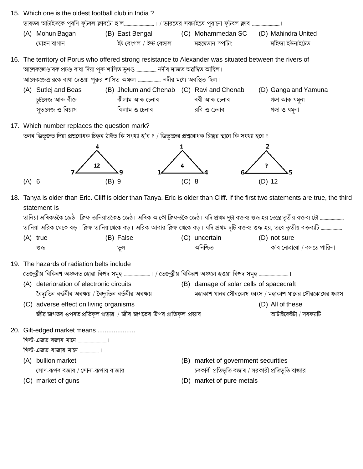- 15. Which one is the oldest football club in India? (A) Mohun Bagan (B) East Bengal (C) Mohammedan SC (D) Mahindra United ইষ্ট বেংগল / ইস্ট বেঙ্গাল মহমেডান স্পটিং মহিন্দ্ৰা ইউনাইটেড মোহন বাগান
- 16. The territory of Porus who offered strong resistance to Alexander was situated between the rivers of আলেকজেণ্ডাৰক প্ৰচণ্ড বাধা দিয়া পুৰু শাসিত ভৃখণ্ড ………………… নদীৰ মাজত অৱস্থিত আছিল। আলেকজেণ্ডারকে বাধা দেওয়া পরুর শাসিত অঞ্চল ............................. নদীর মধ্যে অবস্থিত ছিল।
	- (A) Sutlej and Beas (B) Jhelum and Chenab (C) Ravi and Chenab (D) Ganga and Yamuna চটলেজ আৰু বীজ ঝীলাম আৰু চেনাব ৰবী আৰু চেনাব গঙ্গা আৰু যমুনা সূতলেজ ও বিয়াস ঝিলাম ও চেনাব রবি ও চেনাব গঙ্গা ও যমনা
- 17. Which number replaces the question mark?

তলৰ ত্ৰিভূজত দিয়া প্ৰশ্নবোধক চিহ্নৰ ঠাইত কি সংখ্যা হ'ব ? / ত্ৰিভূজের প্ৰশ্নবোধক চিহ্নের স্থানে কি সংখ্যা হবে ?



18. Tanya is older than Eric. Cliff is older than Tanya. Eric is older than Cliff. If the first two statements are true, the third statement is

তানিয়া এরিক থেকে বড়। ক্লিফ তানিয়াথেকে বড়। এরিক আবার ক্লিফ থেকে বড়। যদি প্রথম দুটি বক্তব্য শুদ্ধ হয়, তবে তৃতীয় বক্তব্যটি ……………………

| (A) true | (B) False | (C) uncertain | (D) not sure             |
|----------|-----------|---------------|--------------------------|
| শুদ্ধ    | ভল        | অনিশ্চিত      | ক'ব নোৱাৰো / বলতে পারিনা |

| 19. The hazards of radiation belts include                                                                      |  |
|-----------------------------------------------------------------------------------------------------------------|--|
| তেজ্স্ক্রীয় বিকিৰণ অঞ্চলত হোৱা বিপদ সমৃহ …………………………। / তেজ্স্ক্রীয় বিকিরণ অঞ্চলে হওয়া বিপদ সমৃহ ……………………………। |  |
|                                                                                                                 |  |

- (A) deterioration of electronic circuits বৈদ্যতিন বৰ্ত্তনীৰ অবক্ষয় / বৈদ্যতিন বৰ্তনীর অবক্ষয়
- (B) damage of solar cells of spacecraft
	- মহাকাশ যানৰ সৌৰকোষ ধবংস / মহাকাশ যানের সৌরকোষের ধবংস

আটাইকেইটা / সবকয়টি

(C) adverse effect on living organisms (D) All of these জীৱ জগতৰ ওপৰত প্ৰতিকল প্ৰভাৱ / জীব জগতের উপর প্ৰতিকল প্ৰভাব



- গিল্ট-এজড় বাজার মানে ......................।
- (A) bullion market সোণ-ৰূপৰ বজাৰ / সোনা-রূপার বাজার
- (C) market of guns

 $(A)$  6

- (B) market of government securities চৰকাৰী প্ৰতিভূতি বজাৰ / সরকারী প্ৰতিভূতি বাজার
- (D) market of pure metals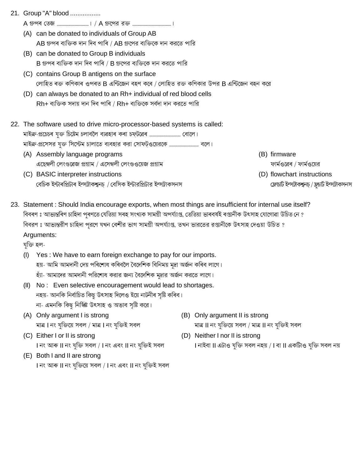21. Group "A" blood .................

- (A) can be donated to individuals of Group AB AB গ্ৰুপৰ ব্যক্তিক দান দিব পাৰি / AB গ্ৰুপের ব্যক্তিকে দান করতে পারি
- (B) can be donated to Group B individuals B গ্ৰুপৰ ব্যক্তিক দান দিব পাৰি / B গ্ৰুপের ব্যক্তিকে দান করতে পারি
- (C) contains Group B antigens on the surface লোহিত ৰক্ত কণিকাৰ ওপৰত B এন্টিজেন বহণ কৰে / লোহিত রক্ত কণিকার উপর B এন্টিজেন বহন করে
- (D) can always be donated to an Rh+ individual of red blood cells  $Rh$ + ব্যক্তিক সদায় দান দিব পাৰি /  $Rh$ + ব্যক্তিকে সৰ্বদা দান করতে পারি
- 22. The software used to drive micro-processor-based systems is called:
	- (A) Assembly language programs এছেম্বলী লেংগুৱেজ প্ৰগ্ৰাম / এসেম্বলী লেংগুওয়েজ প্ৰগ্ৰাম
	- (C) BASIC interpreter instructions বেচিক ইন্টাৰপ্ৰিটাৰ ইন্সট্ৰাকশ্বনচ / বেসিক ইন্টারপ্ৰিটার ইন্সট্ৰাকসনস
- (B) firmware
	- ফার্মওৱেৰ / ফার্মওয়ের
- (D) flowchart instructions
	- ফ্লোচার্ট ইন্সটাকশ্বনচ্ / ফ্লচার্ট ইন্সটাকসনস
- 23. Statement : Should India encourage exports, when most things are insufficient for internal use itself? বিবৰণ ঃ আভ্যন্তৰিণ চাহিদা পুৰণতে যেতিয়া সৰহ সংখ্যক সামগ্ৰী অপৰ্য্যাপ্ত, তেতিয়া ভাৰবৰ্ষই ৰপ্তানীক উৎসাহ যোগোৱা উচিত নে ? বিবরণ ঃ আভ্যন্তরীণ চাহিদা পূরণে যখন বেশীর ভাগ সামগ্রী অপর্য্যাপ্ত, তখন ভারতের রপ্তানীকে উৎসাহ দেওয়া উচিত ? Arguments:

যক্তি হল-

- $(1)$ Yes: We have to earn foreign exchange to pay for our imports. হয়- আমি আমদানী দেয় পৰিশোধ কৰিবলৈ বৈদেশিক বিনিময় মুদ্ৰা অৰ্জন কৰিব লাগে। হ্যা- আমাদের আমদানী পরিশোধ করার জন্য বৈদেশিক মুদ্রার অর্জন করতে লাগে।
- (II) No: Even selective encouragement would lead to shortages. নহয়- আনকি নিৰ্বাচিত কিছু উৎসাহ দিলেও ইয়ে নাটনীৰ সৃষ্টি কৰিব। না- এমনকি কিছু নির্স্কিষ্ট উৎসাহ ও অভাব সৃষ্টি করে।
- (A) Only argument I is strong মাত্র। নং যুক্তিয়ে সবল / মাত্র। নং যুক্তিই সবল
- (C) Either I or II is strong । নং আৰু ॥ নং যুক্তি সবল / । নং এবং ॥ নং যুক্তিই সবল
- (E) Both I and II are strong । নং আৰু ॥ নং যুক্তিয়ে সবল / । নং এবং ॥ নং যুক্তিই সবল
- (B) Only argument II is strong মাত্র II নং যুক্তিয়ে সবল / মাত্র II নং যুক্তিই সবল
- (D) Neither I nor II is strong । নাইবা II এটাও যুক্তি সবল নহয় / I বা II একটািও যুক্তি সবল নয়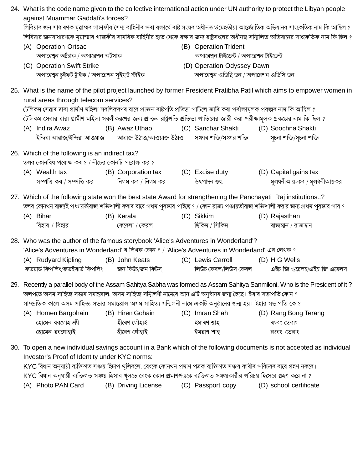| 24. What is the code name given to the collective international action under UN authority to protect the Libyan people<br>against Muammar Gaddafi's forces? |                                                                                                                                  |  |                     |  |                                                                                                                                          |  |                                                                                                                                             |  |  |
|-------------------------------------------------------------------------------------------------------------------------------------------------------------|----------------------------------------------------------------------------------------------------------------------------------|--|---------------------|--|------------------------------------------------------------------------------------------------------------------------------------------|--|---------------------------------------------------------------------------------------------------------------------------------------------|--|--|
|                                                                                                                                                             |                                                                                                                                  |  |                     |  |                                                                                                                                          |  | লিবিয়াৰ জন সাধাৰণক মুৱাম্মৰ গাস্কফীৰ সৈণ্য বাহিনীৰ পৰা ৰক্ষাৰ্থে ৰাষ্ট্ৰ সংঘৰ অধীনত উমৈহতীয়া আন্তৰ্জাতিক অভিযানৰ সাংকেতিক নাম কি আছিল ?   |  |  |
|                                                                                                                                                             |                                                                                                                                  |  |                     |  | লিবিয়ার জনসাধারণকে মুয়াম্মার গাস্কফীর সামরিক বাহিনীর হাত থেকে রক্ষার জন্য রাষ্ট্রসংঘের অধীনস্থ সন্মিলিত অভিযানের সাংকেতিক নাম কি ছিল ? |  |                                                                                                                                             |  |  |
|                                                                                                                                                             | (A) Operation Ortsac                                                                                                             |  |                     |  | (B) Operation Trident                                                                                                                    |  |                                                                                                                                             |  |  |
| অপাৰেশ্বন অৰ্টচাক / অপারেশন অর্টসাক                                                                                                                         |                                                                                                                                  |  |                     |  | অপাৰেশ্বন ট্ৰাইডেন্ট / অপারেশন ট্ৰাইডেন্ট                                                                                                |  |                                                                                                                                             |  |  |
|                                                                                                                                                             | (C) Operation Swift Strike                                                                                                       |  |                     |  | (D) Operation Odyssey Dawn                                                                                                               |  |                                                                                                                                             |  |  |
|                                                                                                                                                             | অপাৰেশ্বন চুইফ্ট ষ্ট্ৰাইক / অপারেশন সুইফ্ট স্ট্রাইক                                                                              |  |                     |  | অপাৰেশ্বন ওডিছি ডন / অপারেশন ওডিসি ডন                                                                                                    |  |                                                                                                                                             |  |  |
|                                                                                                                                                             | rural areas through telecom services?                                                                                            |  |                     |  |                                                                                                                                          |  | 25. What is the name of the pilot project launched by former President Pratibha Patil which aims to empower women in                        |  |  |
|                                                                                                                                                             | টেলিকম সেৱাৰ দ্বাৰা গ্ৰামীণ মহিলা সবলিকৰণৰ বাবে প্ৰাক্তন ৰাষ্ট্ৰপতি প্ৰতিভা পাটিলে জাৰি কৰা পৰীক্ষামূলক প্ৰকল্পৰ নাম কি আছিল ?   |  |                     |  |                                                                                                                                          |  |                                                                                                                                             |  |  |
|                                                                                                                                                             | টেলিকম সেবার দ্বারা গ্রামীণ মহিলা সবলীকরণের জন্য প্রাক্তন রাষ্ট্রপতি প্রতিভা পাতিলের জারী করা পরীক্ষামূলক প্রকল্পের নাম কি ছিল ? |  |                     |  |                                                                                                                                          |  |                                                                                                                                             |  |  |
|                                                                                                                                                             | (A) Indira Awaz                                                                                                                  |  | (B) Awaz Uthao      |  | (C) Sanchar Shakti                                                                                                                       |  | (D) Soochna Shakti                                                                                                                          |  |  |
|                                                                                                                                                             | ইন্দিৰা আৱাজ/ইন্দিরা আওয়াজ        আৱাজ উঠাও/আওয়াজ উঠাও       সঞ্চাৰ শক্তি/সঞ্চার শক্তি                                         |  |                     |  |                                                                                                                                          |  | সূচনা শক্তি/সূচনা শক্তি                                                                                                                     |  |  |
|                                                                                                                                                             | 26. Which of the following is an indirect tax?<br>তলৰ কোনবিধ পৰোক্ষ কৰ ? / নীচের কোনটি পরোক্ষ কর ?                               |  |                     |  |                                                                                                                                          |  |                                                                                                                                             |  |  |
|                                                                                                                                                             | (A) Wealth tax                                                                                                                   |  | (B) Corporation tax |  | (C) Excise duty                                                                                                                          |  | (D) Capital gains tax                                                                                                                       |  |  |
|                                                                                                                                                             | সম্পত্তি কৰ / সম্পত্তি কর দিগম কৰ / নিগম কর                                                                                      |  |                     |  | উৎপাদন শুল্ক                                                                                                                             |  | মুলধনীআয়-কৰ / মূলধনীআয়কর                                                                                                                  |  |  |
|                                                                                                                                                             | 27. Which of the following state won the best state Award for strengthening the Panchayati Raj institutions?                     |  |                     |  |                                                                                                                                          |  | তলৰ কোনখন ৰাজ্যই পঞ্চায়তীৰাজ শক্তিশালী কৰাৰ বাবে প্ৰথম পুৰস্কাৰ পাইছে ? / কোন রাজ্য পঞ্চায়তীরাজ শক্তিশালী করার জন্য প্রথম পুরস্কার পায় ? |  |  |
|                                                                                                                                                             | (A) Bihar                                                                                                                        |  | (B) Kerala          |  | (C) Sikkim                                                                                                                               |  | (D) Rajasthan                                                                                                                               |  |  |
|                                                                                                                                                             | বিহাৰ / বিহার                                                                                                                    |  | কেৰেলা / কেরল       |  | ছিকিম / সিকিম                                                                                                                            |  | ৰাজস্থান / রাজস্থান                                                                                                                         |  |  |
|                                                                                                                                                             | 28. Who was the author of the famous storybook 'Alice's Adventures in Wonderland'?                                               |  |                     |  |                                                                                                                                          |  |                                                                                                                                             |  |  |
| 'Alice's Adventures in Wonderland' ৰ লিখক কোন ? / 'Alice's Adventures in Wonderland' এর লেখক ?                                                              |                                                                                                                                  |  |                     |  |                                                                                                                                          |  |                                                                                                                                             |  |  |
|                                                                                                                                                             | (A) Rudyard Kipling (B) John Keats                                                                                               |  |                     |  | (C) Lewis Carroll                                                                                                                        |  | (D) H G Wells                                                                                                                               |  |  |
|                                                                                                                                                             | ৰুডয়াৰ্ড কিপলিং/রুডইয়াৰ্ড কিপলিং         জন কিটচ/জন কিটস                                                                       |  |                     |  | লিউচ কেৰল/লিউস কেরল                                                                                                                      |  | এইচ জি ওৱেলচ/এইচ জি এয়েলস                                                                                                                  |  |  |
|                                                                                                                                                             |                                                                                                                                  |  |                     |  |                                                                                                                                          |  | 29. Recently a parallel body of the Assam Sahitya Sabha was formed as Assam Sahitya Sanmiloni. Who is the President of it?                  |  |  |
|                                                                                                                                                             | অলপতে অসম সাহিত্য সভাৰ সমান্তৰাল, অসম সাহিত্য সন্মিলণী নামেৰে আন এটি অনুষ্ঠানৰ জন্ম হৈছে। ইয়াৰ সভাপতি কোন ?                     |  |                     |  |                                                                                                                                          |  |                                                                                                                                             |  |  |
|                                                                                                                                                             | সাম্প্রতিক কালে অসম সাহিত্য সভার সমান্তরাল অসম সাহিত্য সন্মিলনী নামে একটি অনুষ্ঠানের জন্ম হয়। ইহার সভাপতি কে ?                  |  |                     |  |                                                                                                                                          |  |                                                                                                                                             |  |  |
|                                                                                                                                                             | (A) Homen Bargohain                                                                                                              |  | (B) Hiren Gohain    |  | (C) Imran Shah                                                                                                                           |  | (D) Rang Bong Terang                                                                                                                        |  |  |
|                                                                                                                                                             | হোমেন বৰগোহাঞী                                                                                                                   |  | হীৰেণ গোঁহাই        |  | ইমাৰণ শ্বাহ                                                                                                                              |  | ৰংবং তেৰাং                                                                                                                                  |  |  |
|                                                                                                                                                             | হোমেন রবগোহাই                                                                                                                    |  | হীরেণ গোঁহাই        |  | ইমরাণ শাহ                                                                                                                                |  | রংবং তেরাং                                                                                                                                  |  |  |
|                                                                                                                                                             | Investor's Proof of Identity under KYC norms:                                                                                    |  |                     |  |                                                                                                                                          |  | 30. To open a new individual savings account in a Bank which of the following documents is not accepted as individual                       |  |  |
|                                                                                                                                                             | KYC বিধান অনুযায়ী ব্যক্তিগত সঞ্চয় হিচাপ খুলিবলৈ, বেংকে কোনখন প্ৰমাণ পত্ৰক ব্যক্তিগত সঞ্চয় কাৰীৰ পৰিচয়ৰ বাবে গ্ৰহণ নকৰে।      |  |                     |  |                                                                                                                                          |  |                                                                                                                                             |  |  |
|                                                                                                                                                             | KYC বিধান অনুযায়ী ব্যক্তিগত সঞ্চয় হিসাব খুলতে বেংক কোন প্রমাণপত্রকে ব্যক্তিগত সঞ্চয়কারীর পরিচয় হিসেবে গ্রহণ করে না ?         |  |                     |  |                                                                                                                                          |  |                                                                                                                                             |  |  |
|                                                                                                                                                             | (A) Photo PAN Card                                                                                                               |  | (B) Driving License |  | (C) Passport copy                                                                                                                        |  | (D) school certificate                                                                                                                      |  |  |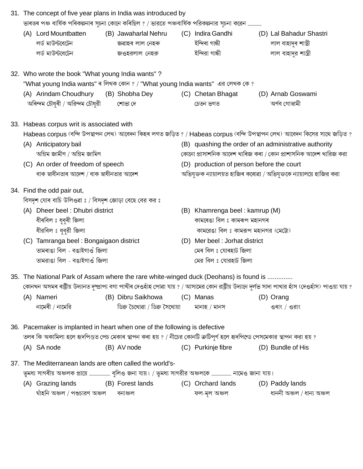|  |                                                       | 31. The concept of five year plans in India was introduced by                                                                                         |  |                                |                                                                |                                                                                                                         |  |                                                                                                                                                        |  |  |  |
|--|-------------------------------------------------------|-------------------------------------------------------------------------------------------------------------------------------------------------------|--|--------------------------------|----------------------------------------------------------------|-------------------------------------------------------------------------------------------------------------------------|--|--------------------------------------------------------------------------------------------------------------------------------------------------------|--|--|--|
|  |                                                       | ভাৰতৰ পঞ্চ বাৰ্ষিক পৰিকল্পনাৰ সূচনা কোনে কৰিছিল ? / ভারতে পঞ্চবাৰ্ষিক পরিকল্পনার সূচনা করেন                                                           |  |                                |                                                                |                                                                                                                         |  |                                                                                                                                                        |  |  |  |
|  |                                                       | (A) Lord Mountbatten                                                                                                                                  |  | (B) Jawaharlal Nehru           |                                                                | (C) Indira Gandhi                                                                                                       |  | (D) Lal Bahadur Shastri                                                                                                                                |  |  |  |
|  |                                                       | লর্ড মাউন্টবেটেন                                                                                                                                      |  | জৱাহৰ লাল নেহৰু                |                                                                | ইন্দিৰা গান্ধী                                                                                                          |  | লাল বাহাদুৰ শাস্ত্ৰী                                                                                                                                   |  |  |  |
|  |                                                       | লর্ড মাউন্টরেটেন                                                                                                                                      |  | জওহরলাল নেহরু                  |                                                                | ইন্দিরা গান্ধী                                                                                                          |  | লাল বাহাদুর শাস্ত্রী                                                                                                                                   |  |  |  |
|  |                                                       | 32. Who wrote the book "What young India wants"?                                                                                                      |  |                                |                                                                |                                                                                                                         |  |                                                                                                                                                        |  |  |  |
|  |                                                       |                                                                                                                                                       |  |                                |                                                                | "What young India wants" ৰ লিখক কোন ? / "What young India wants" এর লেখক কে ?                                           |  |                                                                                                                                                        |  |  |  |
|  |                                                       | (A) Arindam Choudhury (B) Shobha Dey<br>অৰিন্দম চৌধুৰী / অরিন্দম চৌধুরী                                                                               |  | শোভা দে                        |                                                                | (C) Chetan Bhagat<br>চেতন ভগত                                                                                           |  | (D) Arnab Goswami<br>অৰ্ণব গোস্বামী                                                                                                                    |  |  |  |
|  |                                                       | 33. Habeas corpus writ is associated with                                                                                                             |  |                                |                                                                |                                                                                                                         |  |                                                                                                                                                        |  |  |  |
|  |                                                       |                                                                                                                                                       |  |                                |                                                                | Habeas corpus (বন্দি উপস্থাপন লেখ) আবেদন কিহৰ লগত জড়িত ? / Habeas corpus (বন্দি উপস্থাপন লেখ) আবেদন কিসের সাথে জড়িত ? |  |                                                                                                                                                        |  |  |  |
|  | (A) Anticipatory bail                                 |                                                                                                                                                       |  |                                |                                                                |                                                                                                                         |  | (B) quashing the order of an administrative authority                                                                                                  |  |  |  |
|  | অগ্রিম জামীণ / অগ্রিম জামিণ                           |                                                                                                                                                       |  |                                | কোনো প্ৰাসাশনিক আদেশ খাৰিজ কৰা / কোন প্ৰাশাসনিক আদেশ খারিজ করা |                                                                                                                         |  |                                                                                                                                                        |  |  |  |
|  | (C) An order of freedom of speech                     |                                                                                                                                                       |  |                                | (D) production of person before the court                      |                                                                                                                         |  |                                                                                                                                                        |  |  |  |
|  |                                                       | বাক স্বাধীনতাৰ আদেশ / বাক স্বাধীনতার আদেশ                                                                                                             |  |                                |                                                                |                                                                                                                         |  | অভিযুক্তক ন্যায়ালয়ত হাজিৰ কৰোৱা / অভিযুক্তকে ন্যায়ালয়ে হাজির করা                                                                                   |  |  |  |
|  | 34. Find the odd pair out,                            |                                                                                                                                                       |  |                                |                                                                |                                                                                                                         |  |                                                                                                                                                        |  |  |  |
|  | বিসদৃশ যোৰ বাচি উলিওৱা ঃ / বিসদৃশ জোড়া বেছে বের কর ঃ |                                                                                                                                                       |  |                                |                                                                |                                                                                                                         |  |                                                                                                                                                        |  |  |  |
|  | (A) Dheer beel: Dhubri district                       |                                                                                                                                                       |  |                                | (B) Khamrenga beel: kamrup (M)                                 |                                                                                                                         |  |                                                                                                                                                        |  |  |  |
|  | ধীৰবিল ঃ ধুবুৰী জিলা                                  |                                                                                                                                                       |  |                                |                                                                | কামৰেঙা বিল ঃ কামৰূপ মহানগৰ                                                                                             |  |                                                                                                                                                        |  |  |  |
|  | ধীরবিল ঃ ধুবুরী জিলা                                  |                                                                                                                                                       |  |                                | কামরেঙা বিল ঃ কামরূপ মহানগর (মেট্টো)                           |                                                                                                                         |  |                                                                                                                                                        |  |  |  |
|  |                                                       | (C) Tamranga beel: Bongaigaon district                                                                                                                |  |                                | (D) Mer beel: Jorhat district                                  |                                                                                                                         |  |                                                                                                                                                        |  |  |  |
|  | তামৰাঙা বিল - বঙাইগাওঁ জিলা                           |                                                                                                                                                       |  | মেৰ বিল ঃ যোৰহাট জিলা          |                                                                |                                                                                                                         |  |                                                                                                                                                        |  |  |  |
|  |                                                       | তামরাঙা বিল - বঙাইগাওঁ জিলা                                                                                                                           |  |                                |                                                                | মের বিল ঃ যোরহাট জিলা                                                                                                   |  |                                                                                                                                                        |  |  |  |
|  |                                                       | 35. The National Park of Assam where the rare white-winged duck (Deohans) is found is                                                                 |  |                                |                                                                |                                                                                                                         |  |                                                                                                                                                        |  |  |  |
|  |                                                       |                                                                                                                                                       |  | (B) Dibru Saikhowa             |                                                                | (C) Manas                                                                                                               |  | কোনখন অসমৰ ৰাষ্ট্ৰীয় উদ্যানত দুষ্প্ৰাপ্য বগা পাখীৰ দেওহাঁহ পোৱা যায় ? / আসামের কোন রাষ্ট্ৰীয় উদ্যানে দুৰ্লভ সাদা পাখার হাঁস (দেওহাঁস) পাওয়া যায় ? |  |  |  |
|  |                                                       | (A) Nameri<br>নামেৰী / নামেরি                                                                                                                         |  | ডিব্ৰু চৈখোৱা / ডিব্ৰু সৈখোয়া |                                                                | মানাহ / মানস                                                                                                            |  | (D) Orang<br>ওৰাং / ওরাং                                                                                                                               |  |  |  |
|  |                                                       |                                                                                                                                                       |  |                                |                                                                |                                                                                                                         |  |                                                                                                                                                        |  |  |  |
|  |                                                       | 36. Pacemaker is implanted in heart when one of the following is defective                                                                            |  |                                |                                                                |                                                                                                                         |  |                                                                                                                                                        |  |  |  |
|  |                                                       | তলৰ কি অকামিলা হলে হৃদপিণ্ডত পেচ মেকাৰ স্থাপন কৰা হয় ? / নীচের কোনটি ক্রটিপূর্ণ হলে হৃদপিন্ডে পেসমেকার স্থাপন করা হয় ?                              |  |                                |                                                                |                                                                                                                         |  |                                                                                                                                                        |  |  |  |
|  |                                                       | (A) SA node                                                                                                                                           |  | (B) AV node                    |                                                                | (C) Purkinje fibre                                                                                                      |  | (D) Bundle of His                                                                                                                                      |  |  |  |
|  |                                                       | 37. The Mediterranean lands are often called the world's-<br>ভূমধ্য সাগৰীয় অঞ্চলক প্ৰায়ে  বুলিও জনা যায়। / ভূমধ্য সাগরীর অঞ্চলকে  নামেও জানা যায়। |  |                                |                                                                |                                                                                                                         |  |                                                                                                                                                        |  |  |  |
|  |                                                       | (A) Grazing lands                                                                                                                                     |  | (B) Forest lands               |                                                                | (C) Orchard lands                                                                                                       |  | (D) Paddy lands                                                                                                                                        |  |  |  |
|  |                                                       | ঘাঁহনি অঞ্চল / পশুচারণ অঞ্চল                                                                                                                          |  | বনাঞ্চল                        |                                                                | ফল-মূল অঞ্চল                                                                                                            |  | ধাননী অঞ্চল / ধান্য অঞ্চল                                                                                                                              |  |  |  |
|  |                                                       |                                                                                                                                                       |  |                                |                                                                |                                                                                                                         |  |                                                                                                                                                        |  |  |  |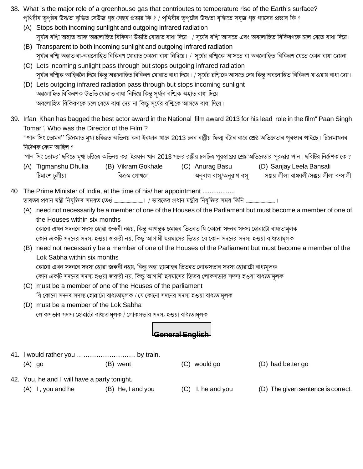- 38. What is the major role of a greenhouse gas that contributes to temperature rise of the Earth's surface? পৃথিৱীৰ ভূপৃষ্ঠৰ উষ্ণতা বৃদ্ধিত সেউজ গৃহ গেছৰ প্ৰভাৱ কি ? / পৃথিবীর ভূপৃষ্টের উষ্ণতা বৃদ্ধিতে সবুজ গৃহ গ্যাসের প্ৰভাব কি ?
	- (A) Stops both incoming sunlight and outgoing infrared radiation সূৰ্য্যৰ ৰশ্মি অহাত আৰু অৱলোহিত বিকিৰণ উভতি যোৱাত বাধা দিয়ে। / সূৰ্যের রশ্মি আসতে এবং অবলোহিত বিকিরণকে চলে যেতে বাধা দিয়ে।
	- (B) Transparent to both incoming sunlight and outgoing infrared radiation সুৰ্য্যৰ ৰশ্মি অহাত বা-অৱলোহিত বিকিৰণ যোৱাত কোনো বাধা নিদিয়ে। / সূৰ্যের রশািকে আসতে বা অবলোহিত বিকিরণ যেতে কোন বাধা দেয়না
	- (C) Lets incoming sunlight pass through but stops outgoing infrared radiation সূৰ্য্যৰ ৰশািক আহিবলৈ দিয়ে কিন্তু অৱলোহিত বিকিৰণ যোৱাত বাধা দিয়ে। / সূৰ্যের রশািকে আসতে দেয় কিন্তু অবলোহিত বিকিরণ যাওয়ায় বাধা দেয়।
	- (D) Lets outgoing infrared radiation pass through but stops incoming sunlight অৱলোহিত বিকিৰণক উভতি যোৱাত বাধা নিদিয়ে কিন্তু সূৰ্য্যৰ ৰশ্মিক অহাত বাধা দিয়ে। অবলোহিত বিকিরণকে চলে যেতে বাধা দেয় না কিন্তু সূর্যের রশ্মিকে আসতে বাধা দিয়ে।
- 39. Irfan Khan has bagged the best actor award in the National film award 2013 for his lead role in the film" Paan Singh Tomar". Who was the Director of the Film?

''পান সিং তোমৰ'' চিনেমাত মুখ্য চৰিত্ৰত অভিনয় কৰা ইৰফান খানে 2013 চনৰ ৰাষ্ট্ৰীয় ফিল্ম বঁটাৰ বাবে শ্ৰেষ্ঠ অভিনেতাৰ পুৰস্কাৰ পাইছে। চিনেমাখনৰ নিৰ্দেশক কোন আছিল ?

'পান সিং তোমর' ছবিতে মুখ্য চরিত্রে অভিনয় করা ইরফান খান 2013 সনের রাষ্ট্রীয় চলচিত্র পুরস্কারের শ্রেষ্ট অভিনেতার পুরস্কার পান। ছবিটির নির্দেশক কে ?

- (A) Tigmanshu Dhulia (D) Sanjay Leela Bansali (B) Vikram Gokhale (C) Anurag Basu টিমাংশ ঢুলীয়া বিক্ৰম গোখলে অনুৰাগ বাসু/অনুরাগ বসু সঞ্জয় লীলা বাঞ্চালী/সঞ্জয় লীলা বন্সালী
- The Prime Minister of India, at the time of his/ her appointment ................. 40
	- (A) need not necessarily be a member of one of the Houses of the Parliament but must become a member of one of the Houses within six months
		- কোনো এখন সদনৰে সদস্য হোৱা জৰুৰী নহয়, কিন্তু আগন্তুক ছমাহৰ ভিতৰত যি কোনো সদনৰ সদস্য হোৱাটো বাধ্যতামূলক

কোন একটি সদনের সদস্য হওয়া জরুরী নয়, কিন্তু আগামী ছয়মাসের ভিতর যে কোন সদনের সদস্য হওয়া বাধ্যতামূলক

(B) need not necessarily be a member of one of the Houses of the Parliament but must become a member of the Lok Sabha within six months

কোনো এখন সদনৰে সদস্য হোৱা জৰুৰী নহয়, কিন্তু অহা ছয়মাহৰ ভিতৰত লোকসভাৰ সদস্য হোৱাটো বাধ্যমূলক

কোন একটি সদনের সদস্য হওয়া জরুরী নয়, কিন্তু আগামী ছয়মাসের ভিতর লোকসভার সদস্য হওয়া বাধ্যতামূলক

- (C) must be a member of one of the Houses of the parliament যি কোনো সদনৰ সদস্য হোৱাটো বাধ্যতামূলক / যে কোনো সদনের সদস্য হওয়া বাধ্যতামূলক
- (D) must be a member of the Lok Sabha লোকসভাৰ সদস্য হোৱাটো বাধ্যতামূলক / লোকসভার সদস্য হওয়া বাধ্যতামূলক

## General English

| 11. I would rather you  by train.            |                   |                      |                                    |
|----------------------------------------------|-------------------|----------------------|------------------------------------|
| $(A)$ go                                     | (B) went          | $(C)$ would go       | (D) had better go                  |
| 42. You, he and I will have a party tonight. |                   |                      |                                    |
| $(A)$ I, you and he                          | (B) He, I and you | I, he and you<br>(C) | (D) The given sentence is correct. |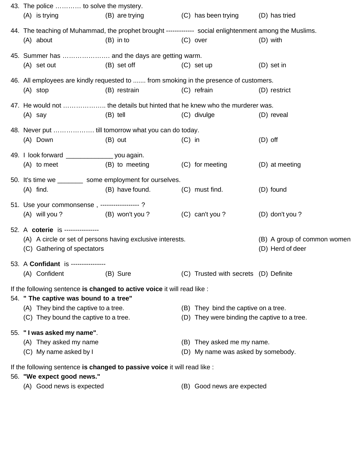| 43. The police  to solve the mystery.                                                                  |                                |          |                                              |                  |
|--------------------------------------------------------------------------------------------------------|--------------------------------|----------|----------------------------------------------|------------------|
| (A) is trying                                                                                          | (B) are trying                 |          | (C) has been trying (D) has tried            |                  |
| 44. The teaching of Muhammad, the prophet brought ------------ social enlightenment among the Muslims. |                                |          |                                              |                  |
| (A) about                                                                                              | $(B)$ in to                    |          | (C) over                                     | (D) with         |
| 45. Summer has  and the days are getting warm.                                                         |                                |          |                                              |                  |
| (B) set off<br>(A) set out                                                                             |                                |          | $(C)$ set up                                 | $(D)$ set in     |
| 46. All employees are kindly requested to  from smoking in the presence of customers.                  |                                |          |                                              |                  |
| $(A)$ stop                                                                                             | (B) restrain                   |          | (C) refrain                                  | (D) restrict     |
| 47. He would not  the details but hinted that he knew who the murderer was.                            |                                |          |                                              |                  |
| $(A)$ say                                                                                              | (B) tell                       |          | (C) divulge                                  | (D) reveal       |
|                                                                                                        |                                |          |                                              |                  |
| (A) Down                                                                                               | (B) out                        | $(C)$ in |                                              | $(D)$ off        |
| 49. I look forward _______________________ you again.                                                  |                                |          |                                              |                  |
| $(A)$ to meet                                                                                          | (B) to meeting (C) for meeting |          |                                              | (D) at meeting   |
| 50. It's time we __________ some employment for ourselves.                                             |                                |          |                                              |                  |
| $(A)$ find.                                                                                            | (B) have found.                |          | (C) must find.                               | (D) found        |
| 51. Use your commonsense, -----------------?                                                           |                                |          |                                              |                  |
| (A) will you ? (B) won't you ?                                                                         |                                |          | (C) can't you?                               | (D) don't you?   |
| 52. A coterie is ----------------                                                                      |                                |          |                                              |                  |
| (A) A circle or set of persons having exclusive interests.                                             | (B) A group of common women    |          |                                              |                  |
| (C) Gathering of spectators                                                                            |                                |          |                                              | (D) Herd of deer |
| 53. A Confidant is ----------------                                                                    |                                |          |                                              |                  |
| (A) Confident                                                                                          | (B) Sure                       |          | (C) Trusted with secrets (D) Definite        |                  |
| If the following sentence is changed to active voice it will read like :                               |                                |          |                                              |                  |
| 54. " The captive was bound to a tree"                                                                 |                                |          |                                              |                  |
| (A) They bind the captive to a tree.                                                                   |                                |          | (B) They bind the captive on a tree.         |                  |
| (C) They bound the captive to a tree.                                                                  |                                |          | (D) They were binding the captive to a tree. |                  |
| 55. "I was asked my name".                                                                             |                                |          |                                              |                  |
| (A) They asked my name                                                                                 |                                |          | (B) They asked me my name.                   |                  |
| (C) My name asked by I                                                                                 |                                |          | (D) My name was asked by somebody.           |                  |
| If the following sentence is changed to passive voice it will read like :                              |                                |          |                                              |                  |
| 56. "We expect good news."                                                                             |                                |          |                                              |                  |
| (A) Good news is expected                                                                              |                                | (B)      | Good news are expected                       |                  |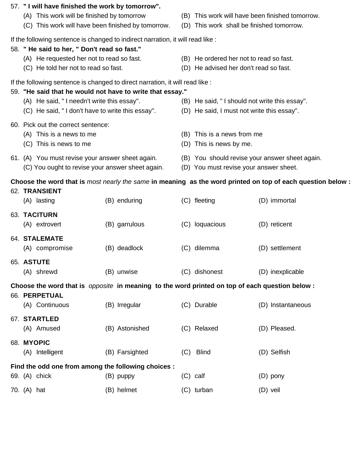| 57. "I will have finished the work by tomorrow".<br>(A) This work will be finished by tomorrow<br>(C) This work will have been finished by tomorrow.        |                |     | (D) This work shall be finished tomorrow.                                                   | (B) This work will have been finished tomorrow.                                                             |
|-------------------------------------------------------------------------------------------------------------------------------------------------------------|----------------|-----|---------------------------------------------------------------------------------------------|-------------------------------------------------------------------------------------------------------------|
| If the following sentence is changed to indirect narration, it will read like :<br>58. "He said to her, " Don't read so fast."                              |                |     |                                                                                             |                                                                                                             |
| (A) He requested her not to read so fast.<br>(C) He told her not to read so fast.                                                                           |                |     | (B) He ordered her not to read so fast.<br>(D) He advised her don't read so fast.           |                                                                                                             |
| If the following sentence is changed to direct narration, it will read like :                                                                               |                |     |                                                                                             |                                                                                                             |
| 59. "He said that he would not have to write that essay."<br>(A) He said, "I needn't write this essay".<br>(C) He said, "I don't have to write this essay". |                |     | (B) He said, "I should not write this essay".<br>(D) He said, I must not write this essay". |                                                                                                             |
| 60. Pick out the correct sentence:<br>(A) This is a news to me<br>(C) This is news to me                                                                    |                | (B) | This is a news from me<br>(D) This is news by me.                                           |                                                                                                             |
| 61. (A) You must revise your answer sheet again.<br>(C) You ought to revise your answer sheet again.                                                        |                |     | (D) You must revise your answer sheet.                                                      | (B) You should revise your answer sheet again.                                                              |
|                                                                                                                                                             |                |     |                                                                                             | Choose the word that is most nearly the same in meaning as the word printed on top of each question below : |
| 62. TRANSIENT<br>(A) lasting                                                                                                                                | (B) enduring   |     | (C) fleeting                                                                                | (D) immortal                                                                                                |
| 63. TACITURN<br>(A) extrovert                                                                                                                               | (B) garrulous  |     | (C) loquacious                                                                              | (D) reticent                                                                                                |
| 64. STALEMATE<br>(A) compromise                                                                                                                             | (B) deadlock   | (C) | dilemma                                                                                     | (D) settlement                                                                                              |
| 65. ASTUTE<br>(A) shrewd                                                                                                                                    | (B) unwise     |     | (C) dishonest                                                                               | (D) inexplicable                                                                                            |
| Choose the word that is <i>opposite</i> in meaning to the word printed on top of each question below :                                                      |                |     |                                                                                             |                                                                                                             |
| 66. PERPETUAL                                                                                                                                               |                |     |                                                                                             |                                                                                                             |
| (A) Continuous<br>67. STARTLED                                                                                                                              | (B) Irregular  |     | (C) Durable                                                                                 | (D) Instantaneous                                                                                           |
| (A) Amused                                                                                                                                                  | (B) Astonished |     | (C) Relaxed                                                                                 | (D) Pleased.                                                                                                |
| 68. MYOPIC<br>(A) Intelligent                                                                                                                               | (B) Farsighted |     | (C) Blind                                                                                   | (D) Selfish                                                                                                 |
| Find the odd one from among the following choices :                                                                                                         |                |     |                                                                                             |                                                                                                             |
| 69. (A) chick                                                                                                                                               | (B) puppy      |     | $(C)$ calf                                                                                  | $(D)$ pony                                                                                                  |
| 70. (A) hat                                                                                                                                                 | (B) helmet     |     | (C) turban                                                                                  | $(D)$ veil                                                                                                  |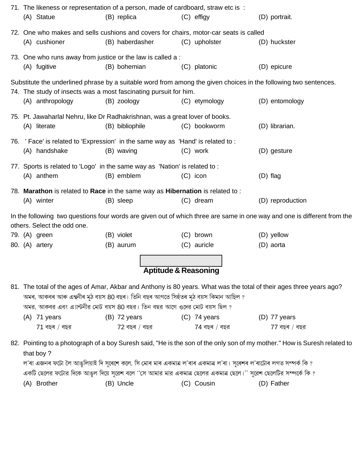|  |                                 | 71. The likeness or representation of a person, made of cardboard, straw etc is:                                          |                          |                         |                  |
|--|---------------------------------|---------------------------------------------------------------------------------------------------------------------------|--------------------------|-------------------------|------------------|
|  | (A) Statue                      | (B) replica                                                                                                               | $(C)$ effigy             | (D) portrait.           |                  |
|  |                                 | 72. One who makes and sells cushions and covers for chairs, motor-car seats is called                                     |                          |                         |                  |
|  | (A) cushioner                   | (B) haberdasher                                                                                                           | (C) upholster            | (D) huckster            |                  |
|  |                                 | 73. One who runs away from justice or the law is called a :                                                               |                          |                         |                  |
|  | (A) fugitive                    | (B) bohemian                                                                                                              | (C) platonic             | (D) epicure             |                  |
|  |                                 | Substitute the underlined phrase by a suitable word from among the given choices in the following two sentences.          |                          |                         |                  |
|  |                                 | 74. The study of insects was a most fascinating pursuit for him.                                                          |                          |                         |                  |
|  | (A) anthropology                | (B) zoology                                                                                                               | (C) etymology            |                         | (D) entomology   |
|  |                                 | 75. Pt. Jawaharlal Nehru, like Dr Radhakrishnan, was a great lover of books.                                              |                          |                         |                  |
|  | (A) literate                    | (B) bibliophile                                                                                                           | (C) bookworm             | (D) librarian.          |                  |
|  |                                 | 76. 'Face' is related to 'Expression' in the same way as 'Hand' is related to:                                            |                          |                         |                  |
|  | (A) handshake                   | (B) waving                                                                                                                | (C) work                 | (D) gesture             |                  |
|  |                                 |                                                                                                                           |                          |                         |                  |
|  | (A) anthem                      | 77. Sports is related to 'Logo' in the same way as 'Nation' is related to :<br>(B) emblem                                 | $(C)$ icon               | (D) flag                |                  |
|  |                                 |                                                                                                                           |                          |                         |                  |
|  |                                 | 78. Marathon is related to Race in the same way as Hibernation is related to:                                             |                          |                         |                  |
|  | (A) winter                      | (B) sleep                                                                                                                 | (C) dream                |                         | (D) reproduction |
|  |                                 | In the following two questions four words are given out of which three are same in one way and one is different from the  |                          |                         |                  |
|  | others. Select the odd one.     |                                                                                                                           |                          |                         |                  |
|  | 79. (A) green<br>80. (A) artery | (B) violet<br>(B) aurum                                                                                                   | (C) brown<br>(C) auricle | (D) yellow<br>(D) aorta |                  |
|  |                                 |                                                                                                                           |                          |                         |                  |
|  |                                 |                                                                                                                           |                          |                         |                  |
|  |                                 | <b>Aptitude &amp; Reasoning</b>                                                                                           |                          |                         |                  |
|  |                                 | 81. The total of the ages of Amar, Akbar and Anthony is 80 years. What was the total of their ages three years ago?       |                          |                         |                  |
|  |                                 | অমৰ, আকবৰ আৰু এন্থনীৰ মুঠ বয়স 80 বছৰ। তিনি বছৰ আগতে সিহঁতৰ মুঠ বয়স কিমান আছিল ?                                         |                          |                         |                  |
|  |                                 | অমর, আকবর এবং এ্যান্টনীর মোট বয়স 80 বছর। তিন বছর আগে ওদের মোট বয়স ছিল ?                                                 |                          |                         |                  |
|  | (A) 71 years                    | $(B)$ 72 years                                                                                                            | $(C)$ 74 years           | $(D)$ 77 years          |                  |
|  | $71$ বছৰ / বছর                  | $72$ বছৰ / বছর                                                                                                            | $74$ বছৰ / বছর           |                         | $77$ বছৰ / বছর   |
|  | that boy?                       | 82. Pointing to a photograph of a boy Suresh said, "He is the son of the only son of my mother." How is Suresh related to |                          |                         |                  |
|  |                                 | ল'ৰা এজনৰ ফটো লৈ আঙুলিয়াই দি সুৰেশে কলে, সি মোৰ মাৰ একমাত্ৰ ল'ৰাৰ একমাত্ৰ ল'ৰা। সুৰেশৰ ল'ৰাটোৰ লগত সম্পৰ্ক কি ?          |                          |                         |                  |
|  |                                 | একটি ছেলের ফটোর দিকে আঙুল দিয়ে সুরেশ বলে ''সে আমার মার একমাত্র ছেলের একমাত্র ছেলে।'' সুরেশ ছেলেটির সম্পর্কে কি ?         |                          |                         |                  |
|  | (A) Brother                     | (B) Uncle                                                                                                                 | (C) Cousin               | (D) Father              |                  |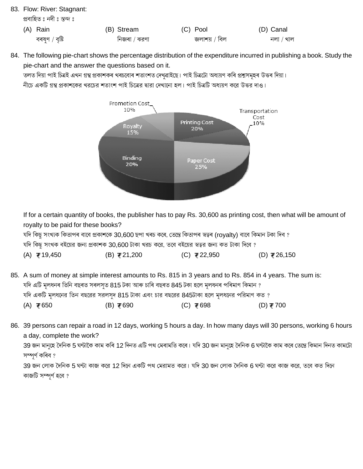- 83. Flow: River: Stagnant: প্ৰবাহিত : নদী : স্তব্দ : (A) Rain (B) Stream (C) Pool (D) Canal বৰষণ / বৃষ্টি নিজৰা / ঝরণা জলাশয় / বিল  $\overline{q}$ নলা / খাল
- 84. The following pie-chart shows the percentage distribution of the expenditure incurred in publishing a book. Study the pie-chart and the answer the questions based on it.

তলত দিয়া পাই চিত্ৰই এখন গ্ৰন্থ প্ৰকাশকৰ খৰচবোৰ শতাংশত দেখৱাইছে। পাই চিত্ৰটো অধ্যয়ণ কৰি প্ৰশ্নসমূহৰ উত্তৰ দিয়া।

নীচে একটি গ্রন্থ প্রকাশকের খরচের শতাংশ পাই চিত্রের দ্বারা দেখানো হল। পাই চিত্রটি অধ্যয়ণ করে উত্তর দাও।



If for a certain quantity of books, the publisher has to pay Rs. 30,600 as printing cost, then what will be amount of royalty to be paid for these books?

যদি কিছু সংখ্যক কিতাপৰ বাবে প্ৰকাশকে 30,600 ছপা খৰচ কৰে, তেন্তে কিতাপৰ স্বত্বৰ (royalty) বাবে কিমান টকা দিব ?

যদি কিছু সংখক বইয়ের জন্য প্রকাশক 30,600 টাকা খরচ করে, তবে বইয়ের স্বত্বর জন্য কত টাকা দিবে ?

| (A) ₹19,450 | $(B)$ ₹21,200 | (C) ₹22,950 | (D) ₹26,150 |
|-------------|---------------|-------------|-------------|
|-------------|---------------|-------------|-------------|

- 85. A sum of money at simple interest amounts to Rs. 815 in 3 years and to Rs. 854 in 4 years. The sum is: যদি এটি মূলধনৰ তিনি বছৰত সৰলসুত 815 টকা আৰু চাৰি বছৰত 845 টকা হলে মূলধনৰ পৰিমাণ কিমান ? যদি একটি মূলধনের তিন বছরের সরলসুদ 815 টাকা এবং চার বছরের 845টাকা হলে মূলধনের পরিমাণ কত ?  $(A)$  ₹650  $(B)$  ₹690 (C) ₹698 (D) ₹700
- 86. 39 persons can repair a road in 12 days, working 5 hours a day. In how many days will 30 persons, working 6 hours a day, complete the work?

39 জন মানুহে দৈনিক 5 ঘন্টাকৈ কাম কৰি 12 দিনত এটি পথ মেৰামতি কৰে। যদি 30 জন মানুহে দৈনিক 6 ঘন্টাকৈ কাম কৰে তেন্তে কিমান দিনত কামটো সম্পৰ্ণ কৰিব ?

39 জন লোক দৈনিক 5 ঘন্টা কাজ করে 12 দিনে একটি পথ মেরামত করে। যদি 30 জন লোক দৈনিক 6 ঘন্টা করে কাজ করে, তবে কত দিনে কাজটি সম্পূর্ণ হবে ?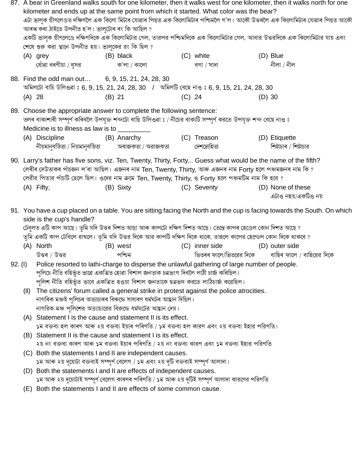| 87. A bear in Greenland walks south for one kilometer, then it walks west for one kilometer, then it walks north for one<br>kilometer and ends up at the same point from which it started. What color was the bear?<br>এটা ভালুক গ্ৰীণলেণ্ডত দক্ষিণলৈ এক কিলো মিটাৰ যোৱাৰ পিছত এক কিলোমিটাৰ পশ্চিমলৈ গ'ল। আকৌ উত্তৰলৈ এক কিলোমিটাৰ যোৱাৰ পিছত আকৌ<br>আৰস্ক কৰা ঠাইতে উপনীত হ'ল। ভালুটোৰ ৰং কি আছিল ?<br>একটি ভালুক গ্রীণলেণ্ডে দক্ষিণদিকে এক কিলোমিটার গেল, তারপর পশ্চিমদিকে এক কিলোমিটার গেল, আবার উত্তরদিকে এক কিলোমিটার যায় এবং |                                                                                                                                                                                                                                                                                                                                                                                                                                                  |          |                                  |          |                            |          |                                                                                                                          |  |
|-------------------------------------------------------------------------------------------------------------------------------------------------------------------------------------------------------------------------------------------------------------------------------------------------------------------------------------------------------------------------------------------------------------------------------------------------------------------------------------------------------------------------------------|--------------------------------------------------------------------------------------------------------------------------------------------------------------------------------------------------------------------------------------------------------------------------------------------------------------------------------------------------------------------------------------------------------------------------------------------------|----------|----------------------------------|----------|----------------------------|----------|--------------------------------------------------------------------------------------------------------------------------|--|
|                                                                                                                                                                                                                                                                                                                                                                                                                                                                                                                                     | শেষে শুরু করা স্থানে উপনীত হয়। ভালুকের রং কি ছিল ?                                                                                                                                                                                                                                                                                                                                                                                              |          |                                  |          |                            |          |                                                                                                                          |  |
|                                                                                                                                                                                                                                                                                                                                                                                                                                                                                                                                     | (A) grey                                                                                                                                                                                                                                                                                                                                                                                                                                         |          | (B) black                        |          | (C) white                  |          | (D) Blue                                                                                                                 |  |
|                                                                                                                                                                                                                                                                                                                                                                                                                                                                                                                                     | ধোঁৱা বৰণীয়া / ধূসর                                                                                                                                                                                                                                                                                                                                                                                                                             |          | ক'লা / কালো                      |          | বগা / সাদা                 |          | নীলা / নীল                                                                                                               |  |
|                                                                                                                                                                                                                                                                                                                                                                                                                                                                                                                                     | 88. Find the odd man out 6, 9, 15, 21, 24, 28, 30<br>অমিলটো বাচি উলিওৱা ঃ 6, 9, 15, 21, 24, 28, 30   /  অমিলটি বেছে নাও ঃ 6, 9, 15, 21, 24, 28, 30                                                                                                                                                                                                                                                                                               |          |                                  |          |                            |          |                                                                                                                          |  |
| $(A)$ 28                                                                                                                                                                                                                                                                                                                                                                                                                                                                                                                            |                                                                                                                                                                                                                                                                                                                                                                                                                                                  | $(B)$ 21 |                                  | $(C)$ 24 |                            | $(D)$ 30 |                                                                                                                          |  |
|                                                                                                                                                                                                                                                                                                                                                                                                                                                                                                                                     | 89. Choose the appropriate answer to complete the following sentence:<br>তলৰ বাক্যশাৰী সম্পূৰ্ণ কৰিবলৈ উপযুক্ত শব্দটো বাছি উলিওৱা ঃ / নীচের বাক্যটি সম্পূৰ্ণ করতে উপযুক্ত শব্দ বেছে নাও ঃ<br>Medicine is to illness as law is to __________<br>(A) Discipline<br>নীয়মানুবৰ্তিতা / নিয়মানুবৰ্তিতা                                                                                                                                               |          | (B) Anarchy<br>অৰাজকতা / অরাজকতা |          | (C) Treason<br>দেশদ্ৰোহিতা |          | (D) Etiquette<br>শিষ্টাচাৰ / শিষ্টাচার                                                                                   |  |
|                                                                                                                                                                                                                                                                                                                                                                                                                                                                                                                                     | 90. Larry's father has five sons, viz. Ten, Twenty, Thirty, Forty Guess what would be the name of the fifth?<br>লেৰীৰ দেউতাকৰ পাঁচজন ল'ৰা আছিল। এজনৰ নাম Ten, Twenty, Thirty, আৰু এজনৰ নাম Forty হলে পঞ্চমজনৰ নাম কি ?<br>লেরীর পিতার পাঁচটি ছেলে ছিল। ওদের নাম ক্রমে Ten, Twenty, Thirty, ও Forty হলে পঞ্চমটিম নাম কি হবে ?                                                                                                                     |          |                                  |          |                            |          |                                                                                                                          |  |
|                                                                                                                                                                                                                                                                                                                                                                                                                                                                                                                                     | (A) Fifty,                                                                                                                                                                                                                                                                                                                                                                                                                                       |          | (B) Sixty                        |          | (C) Seventy                |          | (D) None of these<br>এটাও নহয়/একটিও নয়                                                                                 |  |
|                                                                                                                                                                                                                                                                                                                                                                                                                                                                                                                                     | side is the cup's handle?<br>টেবুলত এটি কাপ আছে। তুমি যদি উত্তৰ দিশত আছা আৰু কাপটো দক্ষিণ দিশত আছে। তেন্তে কাপৰ হেণ্ডেল কোন দিশত আছে ?<br>তুমি একটি কাপ টেবিলে রাখলে। তুমি যদি উত্তর দিকে আর কাপটি দক্ষিণ দিকে থাকে, তাহলে কাপের হেন্ডেল কোন দিকে থাকবে ?                                                                                                                                                                                        |          |                                  |          |                            |          | 91. You have a cup placed on a table. You are sitting facing the North and the cup is facing towards the South. On which |  |
|                                                                                                                                                                                                                                                                                                                                                                                                                                                                                                                                     | (A) North                                                                                                                                                                                                                                                                                                                                                                                                                                        |          | (B) west                         |          | (C) inner side             |          | (D) outer side                                                                                                           |  |
|                                                                                                                                                                                                                                                                                                                                                                                                                                                                                                                                     | উত্তৰ / উত্তর                                                                                                                                                                                                                                                                                                                                                                                                                                    |          | পশ্চিম                           |          |                            |          | ভিতৰৰ ফালে/ভিতরের দিকে বাহিৰ ফালে / বাহিরের দিকে                                                                         |  |
| 92. (I)                                                                                                                                                                                                                                                                                                                                                                                                                                                                                                                             | Police resorted to lathi-charge to disperse the unlawful gathering of large number of people.<br>পুলিচে নীতি বহিৰ্ভূত ভাৱে একত্ৰিত হোৱা বিশাল জনতাক চত্ৰভংগ দিবলৈ লাঠী চাৰ্জ কৰিছিল।<br>পুলিশ নীতি বহিৰ্ভূত ভাবে একত্ৰিত হওয়া বিশাল জনতাকে ছত্ৰভঙ্গ করতে লাঠিচাৰ্জ করেছিল।<br>(II) The citizens' forum called a general strike in protest against the police atrocities.<br>নাগৰিক মঞ্চই পুলিচৰ অত্যাচাৰৰ বিৰুদ্ধে সাধাৰণ ধৰ্মঘটৰ আহ্বান দিছিল। |          |                                  |          |                            |          |                                                                                                                          |  |
|                                                                                                                                                                                                                                                                                                                                                                                                                                                                                                                                     | নাগরিক-মঞ্চ পুলিশের অত্যাচারের বিরুদ্ধে ধর্মঘটের আহ্বান দেয়।                                                                                                                                                                                                                                                                                                                                                                                    |          |                                  |          |                            |          |                                                                                                                          |  |
|                                                                                                                                                                                                                                                                                                                                                                                                                                                                                                                                     | (A) Statement I is the cause and statement II is its effect.                                                                                                                                                                                                                                                                                                                                                                                     |          |                                  |          |                            |          |                                                                                                                          |  |
|                                                                                                                                                                                                                                                                                                                                                                                                                                                                                                                                     | ১ম বক্তব্য হল কাৰণ আৰু ২য় বক্তব্য ইয়াৰ পৰিণতি / ১ম বক্তব্য হল কারণ এবং ২য় বক্তব্য ইহার পরিণতি।                                                                                                                                                                                                                                                                                                                                                |          |                                  |          |                            |          |                                                                                                                          |  |
|                                                                                                                                                                                                                                                                                                                                                                                                                                                                                                                                     | (B) Statement II is the cause and statement I is its effect.                                                                                                                                                                                                                                                                                                                                                                                     |          |                                  |          |                            |          |                                                                                                                          |  |
|                                                                                                                                                                                                                                                                                                                                                                                                                                                                                                                                     | ২য় নং বক্তব্য কাৰণ আৰু ১ম বক্তব্য ইয়াৰ পৰিণতি / ২য় নং বক্তব্য কারণ এবং ১ম বক্তব্য ইহার পরিণতি                                                                                                                                                                                                                                                                                                                                                 |          |                                  |          |                            |          |                                                                                                                          |  |
|                                                                                                                                                                                                                                                                                                                                                                                                                                                                                                                                     | (C) Both the statements I and II are independent causes.                                                                                                                                                                                                                                                                                                                                                                                         |          |                                  |          |                            |          |                                                                                                                          |  |
|                                                                                                                                                                                                                                                                                                                                                                                                                                                                                                                                     | ১ম আৰু ২য় দুয়োটা বক্তব্যই সম্পূৰ্ণ বেলেগ / ১ম এবং ২য় দুটি বক্তব্যই সম্পূৰ্ণ আলাদা।                                                                                                                                                                                                                                                                                                                                                            |          |                                  |          |                            |          |                                                                                                                          |  |
|                                                                                                                                                                                                                                                                                                                                                                                                                                                                                                                                     | (D) Both the statements I and II are effects of independent causes.                                                                                                                                                                                                                                                                                                                                                                              |          |                                  |          |                            |          |                                                                                                                          |  |
|                                                                                                                                                                                                                                                                                                                                                                                                                                                                                                                                     | ১ম আৰু ২য় দুয়োটাই সম্পূৰ্ণ বেলেগ কাৰণৰ পৰিণতি / ১ম আৰু ২য় দুটিই সম্পূৰ্ণ আলাদা কারণের পরিণতি                                                                                                                                                                                                                                                                                                                                                  |          |                                  |          |                            |          |                                                                                                                          |  |
|                                                                                                                                                                                                                                                                                                                                                                                                                                                                                                                                     | (E) Both the statements I and II are effects of some common cause.                                                                                                                                                                                                                                                                                                                                                                               |          |                                  |          |                            |          |                                                                                                                          |  |
|                                                                                                                                                                                                                                                                                                                                                                                                                                                                                                                                     |                                                                                                                                                                                                                                                                                                                                                                                                                                                  |          |                                  |          |                            |          |                                                                                                                          |  |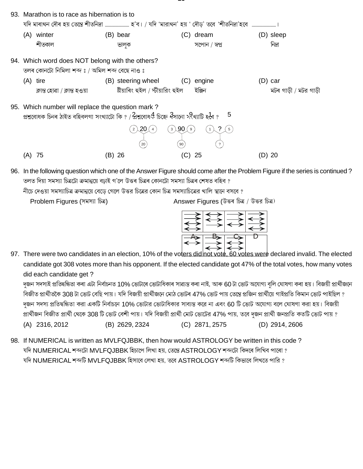| 93. | Marathon is to race as hibernation is to<br>যদি মাৰাথন দৌৰ হয় তেন্তে শীতনিদ্ৰা ……………………… হ'ব। / যদি 'মারাথন' হয় ' দৌড়' তবে 'শীতনিদ্ৰা'হবে  ……………………………                                       |                                   |                                                                                |                       |
|-----|-------------------------------------------------------------------------------------------------------------------------------------------------------------------------------------------------|-----------------------------------|--------------------------------------------------------------------------------|-----------------------|
|     | (A) winter                                                                                                                                                                                      | (B) bear                          | (C) dream                                                                      | (D) sleep             |
|     | শীতকাল                                                                                                                                                                                          | ভালুক                             | সপোন / স্বপ্ন                                                                  | নিদ্ৰা                |
|     | 94. Which word does NOT belong with the others?<br>তলৰ কোনটো নিমিলা শব্দ ঃ / অমিল শব্দ বেছে নাও ঃ                                                                                               |                                   |                                                                                |                       |
|     | $(A)$ tire                                                                                                                                                                                      | (B) steering wheel (C) engine     |                                                                                | $(D)$ car             |
|     | ক্লান্ত হোৱা / ক্লান্ত হওয়া                                                                                                                                                                    | ষ্টীয়াৰিং হুইল / স্টীয়ারিং হুইল | ইঞ্জিন                                                                         | মটৰ গাড়ী / মটর গাড়ী |
|     | 95. Which number will replace the question mark?<br>প্ৰশ্নবোধক চিনৰ ঠাইত বহিবলগা সংখ্যাটো কি ? / প্ৰশ্নবোধ ${\mathcal{A}}$ চিহ্নে ব্বীসানো স্ ${\mathcal{R}}$ থ্যাটি হ ${\mathcal{d}}$ ৰ ?<br>5 |                                   |                                                                                |                       |
|     |                                                                                                                                                                                                 | .20<br>3 <sup>1</sup><br>2<br>20  | ୍90ା<br>$5\overline{)}$<br>9<br>$\mathbf{1}$<br>90<br>$\overline{\mathcal{L}}$ |                       |
|     | 75<br>(A)                                                                                                                                                                                       | (B) 26                            | 25<br>(G)                                                                      | (D) 20                |

96. In the following question which one of the Answer Figure should come after the Problem Figure if the series is continued? তলত দিয়া সমস্যা চিত্ৰটো ক্ৰমান্বয়ে বঢাই গ'লে উত্তৰ চিত্ৰৰ কোনটো সমস্যা চিত্ৰৰ শেষত বহিব ?

নীচে দেওয়া সমস্যাচিত্র ক্রমান্বয়ে বেডে গেলে উত্তর চিত্রের কোন চিত্র সমস্যাচিত্রের খালি স্থানে বসবে ?

Problem Figures (সমস্যা চিত্র)

Answer Figures (উত্তৰ চিত্ৰ / উত্তর চিত্র)



97. There were two candidates in an election, 10% of the voters didinot vote, 60 votes were declared invalid. The elected candidate got 308 votes more than his opponent. If the elected candidate got 47% of the total votes, how many votes did each candidate get?

দুজন সদস্যই প্ৰতিদ্বন্ধিতা কৰা এটা নিৰ্বাচনত 10% ভোটাৰে ভোটাধিকাৰ সাৱ্যস্ত কৰা নাই, আৰু 60 টা ভোট অযোগ্য বুলি ঘোষণা কৰা হয়। বিজয়ী প্ৰাৰ্থীজনে বিজীত প্রার্থীতকৈ 308 টা ভোট বেছি পায়। যদি বিজয়ী প্রার্থীজনে মোঠ ভোটৰ 47% ভোট পায় তেন্তে প্রজিন প্রার্থীয়ে গাইপ্রতি কিমান ভোট পাইছিল ? দজন সদস্য প্রতিদ্বন্ধিতা করা একটি নির্বাচনে 10% ভোটার ভোটাধিকার সাব্যস্ত করে না এবং 60 টি ভোট অযোগ্য বলে ঘোষণা করা হয়। বিজয়ী প্রার্থীজন বিজীত প্রার্থী থেকে 308 টি ভোট বেশী পায়। যদি বিজয়ী প্রার্থী মোট ভোটের 47% পায়, তবে দুজন প্রার্থী জনপ্রতি কতটি ভোট পায় ? (A) 2316, 2012 (B) 2629, 2324 (C) 2871, 2575 (D) 2914, 2606

98. If NUMERICAL is written as MVLFQJBBK, then how would ASTROLOGY be written in this code? যদি NUMERICAL শব্দটো MVLFQJBBK হিচাপে লিখা হয়. তেন্তে ASTROLOGY শব্দটো কিদৰে লিখিব পাৰো ? যদি NUMERICAL শব্দটি MVLFQJBBK হিসাবে লেখা হয়, তবে ASTROLOGY শব্দটি কিভাবে লিখতে পারি ?